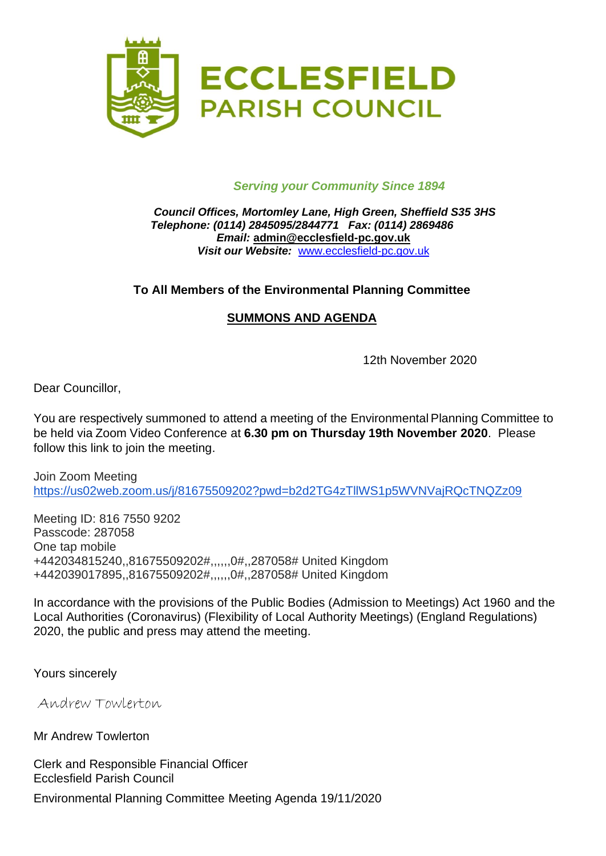

#### *Serving your Community Since 1894*

#### *Council Offices, Mortomley Lane, High Green, Sheffield S35 3HS Telephone: (0114) 2845095/2844771 Fax: (0114) 2869486 Email:* **admin@ecclesfield-pc.gov.uk** *Visit our Website:* [www.ecclesfield-pc.gov.uk](http://www.ecclesfield-pc.gov.uk/)

### **To All Members of the Environmental Planning Committee**

#### **SUMMONS AND AGENDA**

12th November 2020

Dear Councillor,

You are respectively summoned to attend a meeting of the Environmental Planning Committee to be held via Zoom Video Conference at **6.30 pm on Thursday 19th November 2020**. Please follow this link to join the meeting.

Join Zoom Meeting <https://us02web.zoom.us/j/81675509202?pwd=b2d2TG4zTllWS1p5WVNVajRQcTNQZz09>

Meeting ID: 816 7550 9202 Passcode: 287058 One tap mobile +442034815240,,81675509202#,,,,,,0#,,287058# United Kingdom +442039017895,,81675509202#,,,,,,0#,,287058# United Kingdom

In accordance with the provisions of the Public Bodies (Admission to Meetings) Act 1960 and the Local Authorities (Coronavirus) (Flexibility of Local Authority Meetings) (England Regulations) 2020, the public and press may attend the meeting.

Yours sincerely

Andrew Towlerton

Mr Andrew Towlerton

Clerk and Responsible Financial Officer Ecclesfield Parish Council

Environmental Planning Committee Meeting Agenda 19/11/2020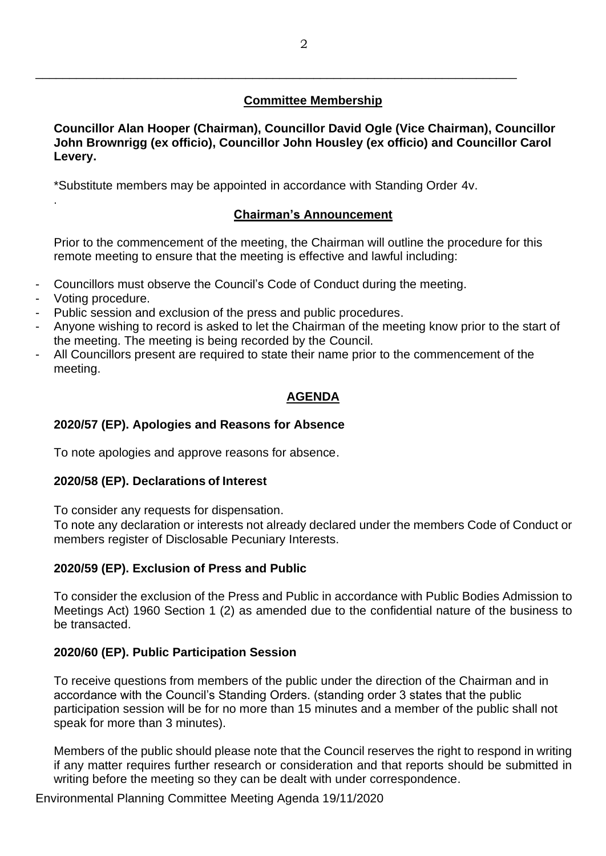### **Committee Membership**

**Councillor Alan Hooper (Chairman), Councillor David Ogle (Vice Chairman), Councillor John Brownrigg (ex officio), Councillor John Housley (ex officio) and Councillor Carol Levery.**

\*Substitute members may be appointed in accordance with Standing Order 4v.

\_\_\_\_\_\_\_\_\_\_\_\_\_\_\_\_\_\_\_\_\_\_\_\_\_\_\_\_\_\_\_\_\_\_\_\_\_\_\_\_\_\_\_\_\_\_\_\_\_\_\_\_\_\_\_\_\_\_\_\_\_\_\_\_\_\_\_\_\_\_\_

#### **Chairman's Announcement**

Prior to the commencement of the meeting, the Chairman will outline the procedure for this remote meeting to ensure that the meeting is effective and lawful including:

- Councillors must observe the Council's Code of Conduct during the meeting.
- Voting procedure.

.

- Public session and exclusion of the press and public procedures.
- Anyone wishing to record is asked to let the Chairman of the meeting know prior to the start of the meeting. The meeting is being recorded by the Council.
- All Councillors present are required to state their name prior to the commencement of the meeting.

# **AGENDA**

### **2020/57 (EP). Apologies and Reasons for Absence**

To note apologies and approve reasons for absence.

#### **2020/58 (EP). Declarations of Interest**

To consider any requests for dispensation.

To note any declaration or interests not already declared under the members Code of Conduct or members register of Disclosable Pecuniary Interests.

### **2020/59 (EP). Exclusion of Press and Public**

To consider the exclusion of the Press and Public in accordance with Public Bodies Admission to Meetings Act) 1960 Section 1 (2) as amended due to the confidential nature of the business to be transacted.

#### **2020/60 (EP). Public Participation Session**

To receive questions from members of the public under the direction of the Chairman and in accordance with the Council's Standing Orders. (standing order 3 states that the public participation session will be for no more than 15 minutes and a member of the public shall not speak for more than 3 minutes).

Members of the public should please note that the Council reserves the right to respond in writing if any matter requires further research or consideration and that reports should be submitted in writing before the meeting so they can be dealt with under correspondence.

Environmental Planning Committee Meeting Agenda 19/11/2020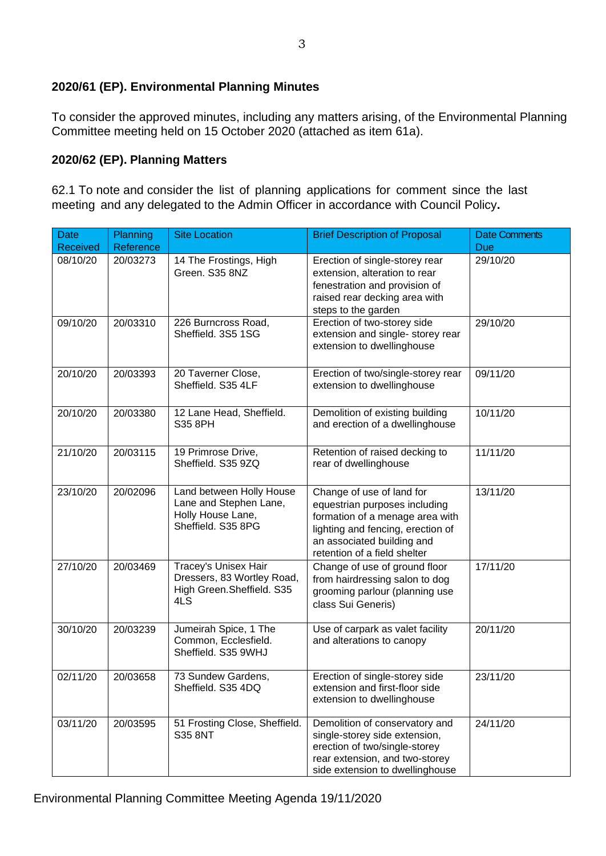### **2020/61 (EP). Environmental Planning Minutes**

To consider the approved minutes, including any matters arising, of the Environmental Planning Committee meeting held on 15 October 2020 (attached as item 61a).

### **2020/62 (EP). Planning Matters**

62.1 To note and consider the list of planning applications for comment since the last meeting and any delegated to the Admin Officer in accordance with Council Policy**.**

| <b>Date</b>     | <b>Planning</b> | <b>Site Location</b>                                                                          | <b>Brief Description of Proposal</b>                                                                                                                                                             | <b>Date Comments</b> |
|-----------------|-----------------|-----------------------------------------------------------------------------------------------|--------------------------------------------------------------------------------------------------------------------------------------------------------------------------------------------------|----------------------|
| <b>Received</b> | Reference       |                                                                                               |                                                                                                                                                                                                  | Due                  |
| 08/10/20        | 20/03273        | 14 The Frostings, High<br>Green. S35 8NZ                                                      | Erection of single-storey rear<br>extension, alteration to rear<br>fenestration and provision of<br>raised rear decking area with<br>steps to the garden                                         | 29/10/20             |
| 09/10/20        | 20/03310        | 226 Burncross Road,<br>Sheffield. 3S5 1SG                                                     | Erection of two-storey side<br>extension and single- storey rear<br>extension to dwellinghouse                                                                                                   | 29/10/20             |
| 20/10/20        | 20/03393        | 20 Taverner Close,<br>Sheffield. S35 4LF                                                      | Erection of two/single-storey rear<br>extension to dwellinghouse                                                                                                                                 | 09/11/20             |
| 20/10/20        | 20/03380        | 12 Lane Head, Sheffield.<br>S35 8PH                                                           | Demolition of existing building<br>and erection of a dwellinghouse                                                                                                                               | 10/11/20             |
| 21/10/20        | 20/03115        | 19 Primrose Drive,<br>Sheffield. S35 9ZQ                                                      | Retention of raised decking to<br>rear of dwellinghouse                                                                                                                                          | 11/11/20             |
| 23/10/20        | 20/02096        | Land between Holly House<br>Lane and Stephen Lane,<br>Holly House Lane,<br>Sheffield. S35 8PG | Change of use of land for<br>equestrian purposes including<br>formation of a menage area with<br>lighting and fencing, erection of<br>an associated building and<br>retention of a field shelter | 13/11/20             |
| 27/10/20        | 20/03469        | Tracey's Unisex Hair<br>Dressers, 83 Wortley Road,<br>High Green. Sheffield. S35<br>4LS       | Change of use of ground floor<br>from hairdressing salon to dog<br>grooming parlour (planning use<br>class Sui Generis)                                                                          | 17/11/20             |
| 30/10/20        | 20/03239        | Jumeirah Spice, 1 The<br>Common, Ecclesfield.<br>Sheffield. S35 9WHJ                          | Use of carpark as valet facility<br>and alterations to canopy                                                                                                                                    | 20/11/20             |
| 02/11/20        | 20/03658        | 73 Sundew Gardens,<br>Sheffield. S35 4DQ                                                      | Erection of single-storey side<br>extension and first-floor side<br>extension to dwellinghouse                                                                                                   | 23/11/20             |
| 03/11/20        | 20/03595        | 51 Frosting Close, Sheffield.<br><b>S35 8NT</b>                                               | Demolition of conservatory and<br>single-storey side extension,<br>erection of two/single-storey<br>rear extension, and two-storey<br>side extension to dwellinghouse                            | 24/11/20             |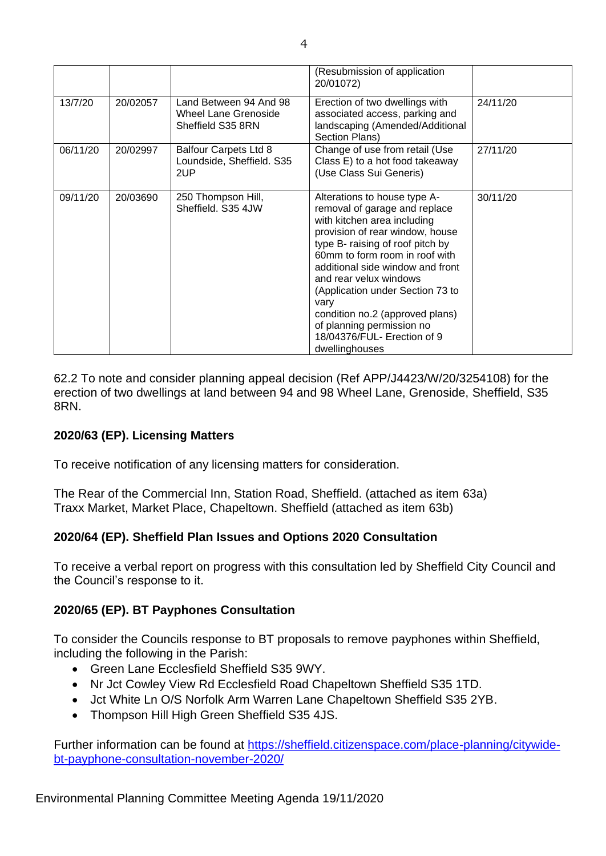|          |          |                                                                     | (Resubmission of application<br>20/01072)                                                                                                                                                                                                                                                                                                                                                                                        |          |
|----------|----------|---------------------------------------------------------------------|----------------------------------------------------------------------------------------------------------------------------------------------------------------------------------------------------------------------------------------------------------------------------------------------------------------------------------------------------------------------------------------------------------------------------------|----------|
| 13/7/20  | 20/02057 | Land Between 94 And 98<br>Wheel Lane Grenoside<br>Sheffield S35 8RN | Erection of two dwellings with<br>associated access, parking and<br>landscaping (Amended/Additional<br>Section Plans)                                                                                                                                                                                                                                                                                                            | 24/11/20 |
| 06/11/20 | 20/02997 | <b>Balfour Carpets Ltd 8</b><br>Loundside, Sheffield. S35<br>2UP    | Change of use from retail (Use<br>Class E) to a hot food takeaway<br>(Use Class Sui Generis)                                                                                                                                                                                                                                                                                                                                     | 27/11/20 |
| 09/11/20 | 20/03690 | 250 Thompson Hill,<br>Sheffield. S35 4JW                            | Alterations to house type A-<br>removal of garage and replace<br>with kitchen area including<br>provision of rear window, house<br>type B- raising of roof pitch by<br>60mm to form room in roof with<br>additional side window and front<br>and rear velux windows<br>(Application under Section 73 to<br>vary<br>condition no.2 (approved plans)<br>of planning permission no<br>18/04376/FUL- Erection of 9<br>dwellinghouses | 30/11/20 |

62.2 To note and consider planning appeal decision (Ref APP/J4423/W/20/3254108) for the erection of two dwellings at land between 94 and 98 Wheel Lane, Grenoside, Sheffield, S35 8RN.

### **2020/63 (EP). Licensing Matters**

To receive notification of any licensing matters for consideration.

The Rear of the Commercial Inn, Station Road, Sheffield. (attached as item 63a) Traxx Market, Market Place, Chapeltown. Sheffield (attached as item 63b)

#### **2020/64 (EP). Sheffield Plan Issues and Options 2020 Consultation**

To receive a verbal report on progress with this consultation led by Sheffield City Council and the Council's response to it.

#### **2020/65 (EP). BT Payphones Consultation**

To consider the Councils response to BT proposals to remove payphones within Sheffield, including the following in the Parish:

- Green Lane Ecclesfield Sheffield S35 9WY.
- Nr Jct Cowley View Rd Ecclesfield Road Chapeltown Sheffield S35 1TD.
- Jct White Ln O/S Norfolk Arm Warren Lane Chapeltown Sheffield S35 2YB.
- Thompson Hill High Green Sheffield S35 4JS.

Further information can be found at [https://sheffield.citizenspace.com/place-planning/citywide](https://sheffield.citizenspace.com/place-planning/citywide-bt-payphone-consultation-november-2020/)[bt-payphone-consultation-november-2020/](https://sheffield.citizenspace.com/place-planning/citywide-bt-payphone-consultation-november-2020/)